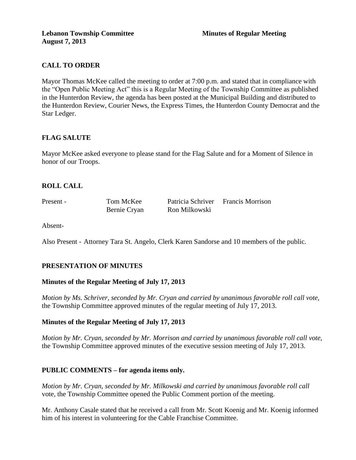# **CALL TO ORDER**

Mayor Thomas McKee called the meeting to order at 7:00 p.m. and stated that in compliance with the "Open Public Meeting Act" this is a Regular Meeting of the Township Committee as published in the Hunterdon Review, the agenda has been posted at the Municipal Building and distributed to the Hunterdon Review, Courier News, the Express Times, the Hunterdon County Democrat and the Star Ledger.

## **FLAG SALUTE**

Mayor McKee asked everyone to please stand for the Flag Salute and for a Moment of Silence in honor of our Troops.

### **ROLL CALL**

Present - Tom McKee Patricia Schriver Francis Morrison Bernie Cryan Ron Milkowski

Absent-

Also Present - Attorney Tara St. Angelo, Clerk Karen Sandorse and 10 members of the public.

### **PRESENTATION OF MINUTES**

### **Minutes of the Regular Meeting of July 17, 2013**

*Motion by Ms. Schriver, seconded by Mr. Cryan and carried by unanimous favorable roll call vote,* the Township Committee approved minutes of the regular meeting of July 17, 2013.

### **Minutes of the Regular Meeting of July 17, 2013**

*Motion by Mr. Cryan, seconded by Mr. Morrison and carried by unanimous favorable roll call vote,* the Township Committee approved minutes of the executive session meeting of July 17, 2013.

### **PUBLIC COMMENTS – for agenda items only.**

*Motion by Mr. Cryan, seconded by Mr. Milkowski and carried by unanimous favorable roll call*  vote, the Township Committee opened the Public Comment portion of the meeting.

Mr. Anthony Casale stated that he received a call from Mr. Scott Koenig and Mr. Koenig informed him of his interest in volunteering for the Cable Franchise Committee.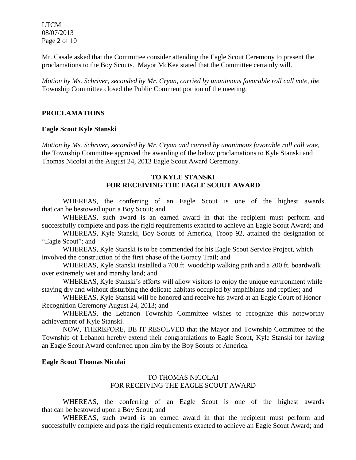LTCM 08/07/2013 Page 2 of 10

Mr. Casale asked that the Committee consider attending the Eagle Scout Ceremony to present the proclamations to the Boy Scouts. Mayor McKee stated that the Committee certainly will.

*Motion by Ms. Schriver, seconded by Mr. Cryan, carried by unanimous favorable roll call vote, the* Township Committee closed the Public Comment portion of the meeting.

#### **PROCLAMATIONS**

#### **Eagle Scout Kyle Stanski**

*Motion by Ms. Schriver, seconded by Mr. Cryan and carried by unanimous favorable roll call vote,* the Township Committee approved the awarding of the below proclamations to Kyle Stanski and Thomas Nicolai at the August 24, 2013 Eagle Scout Award Ceremony.

### **TO KYLE STANSKI FOR RECEIVING THE EAGLE SCOUT AWARD**

WHEREAS, the conferring of an Eagle Scout is one of the highest awards that can be bestowed upon a Boy Scout; and

WHEREAS, such award is an earned award in that the recipient must perform and successfully complete and pass the rigid requirements exacted to achieve an Eagle Scout Award; and

WHEREAS, Kyle Stanski, Boy Scouts of America, Troop 92, attained the designation of "Eagle Scout"; and

WHEREAS, Kyle Stanski is to be commended for his Eagle Scout Service Project, which involved the construction of the first phase of the Goracy Trail; and

WHEREAS, Kyle Stanski installed a 700 ft. woodchip walking path and a 200 ft. boardwalk over extremely wet and marshy land; and

WHEREAS, Kyle Stanski's efforts will allow visitors to enjoy the unique environment while staying dry and without disturbing the delicate habitats occupied by amphibians and reptiles; and

WHEREAS, Kyle Stanski will be honored and receive his award at an Eagle Court of Honor Recognition Ceremony August 24, 2013; and

WHEREAS, the Lebanon Township Committee wishes to recognize this noteworthy achievement of Kyle Stanski.

NOW, THEREFORE, BE IT RESOLVED that the Mayor and Township Committee of the Township of Lebanon hereby extend their congratulations to Eagle Scout, Kyle Stanski for having an Eagle Scout Award conferred upon him by the Boy Scouts of America.

### **Eagle Scout Thomas Nicolai**

### TO THOMAS NICOLAI FOR RECEIVING THE EAGLE SCOUT AWARD

WHEREAS, the conferring of an Eagle Scout is one of the highest awards that can be bestowed upon a Boy Scout; and

WHEREAS, such award is an earned award in that the recipient must perform and successfully complete and pass the rigid requirements exacted to achieve an Eagle Scout Award; and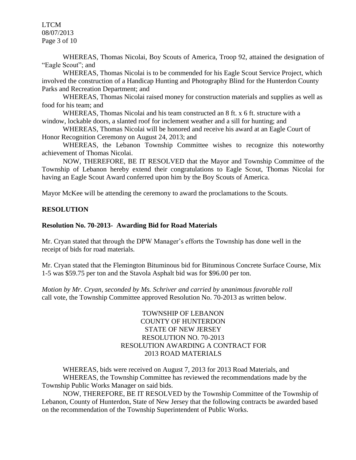LTCM 08/07/2013 Page 3 of 10

WHEREAS, Thomas Nicolai, Boy Scouts of America, Troop 92, attained the designation of "Eagle Scout"; and

WHEREAS, Thomas Nicolai is to be commended for his Eagle Scout Service Project, which involved the construction of a Handicap Hunting and Photography Blind for the Hunterdon County Parks and Recreation Department; and

WHEREAS, Thomas Nicolai raised money for construction materials and supplies as well as food for his team; and

WHEREAS, Thomas Nicolai and his team constructed an 8 ft. x 6 ft. structure with a window, lockable doors, a slanted roof for inclement weather and a sill for hunting; and

WHEREAS, Thomas Nicolai will be honored and receive his award at an Eagle Court of Honor Recognition Ceremony on August 24, 2013; and

WHEREAS, the Lebanon Township Committee wishes to recognize this noteworthy achievement of Thomas Nicolai.

NOW, THEREFORE, BE IT RESOLVED that the Mayor and Township Committee of the Township of Lebanon hereby extend their congratulations to Eagle Scout, Thomas Nicolai for having an Eagle Scout Award conferred upon him by the Boy Scouts of America.

Mayor McKee will be attending the ceremony to award the proclamations to the Scouts.

## **RESOLUTION**

### **Resolution No. 70-2013- Awarding Bid for Road Materials**

Mr. Cryan stated that through the DPW Manager's efforts the Township has done well in the receipt of bids for road materials.

Mr. Cryan stated that the Flemington Bituminous bid for Bituminous Concrete Surface Course, Mix 1-5 was \$59.75 per ton and the Stavola Asphalt bid was for \$96.00 per ton.

*Motion by Mr. Cryan, seconded by Ms. Schriver and carried by unanimous favorable roll*  call vote, the Township Committee approved Resolution No. 70-2013 as written below.

### TOWNSHIP OF LEBANON COUNTY OF HUNTERDON STATE OF NEW JERSEY RESOLUTION NO. 70-2013 RESOLUTION AWARDING A CONTRACT FOR 2013 ROAD MATERIALS

WHEREAS, bids were received on August 7, 2013 for 2013 Road Materials, and WHEREAS, the Township Committee has reviewed the recommendations made by the Township Public Works Manager on said bids.

NOW, THEREFORE, BE IT RESOLVED by the Township Committee of the Township of Lebanon, County of Hunterdon, State of New Jersey that the following contracts be awarded based on the recommendation of the Township Superintendent of Public Works.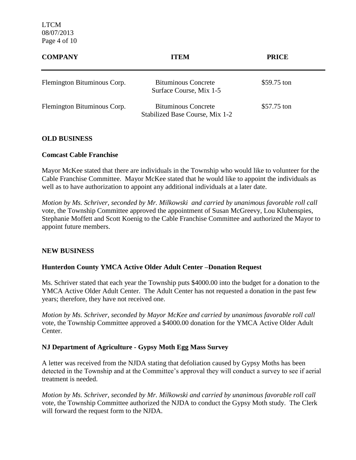LTCM 08/07/2013 Page 4 of 10

| <b>COMPANY</b>              | <b>ITEM</b>                                                   | <b>PRICE</b> |  |
|-----------------------------|---------------------------------------------------------------|--------------|--|
| Flemington Bituminous Corp. | <b>Bituminous Concrete</b><br>Surface Course, Mix 1-5         | \$59.75 ton  |  |
| Flemington Bituminous Corp. | <b>Bituminous Concrete</b><br>Stabilized Base Course, Mix 1-2 | \$57.75 ton  |  |

### **OLD BUSINESS**

#### **Comcast Cable Franchise**

Mayor McKee stated that there are individuals in the Township who would like to volunteer for the Cable Franchise Committee. Mayor McKee stated that he would like to appoint the individuals as well as to have authorization to appoint any additional individuals at a later date.

*Motion by Ms. Schriver, seconded by Mr. Milkowski and carried by unanimous favorable roll call*  vote, the Township Committee approved the appointment of Susan McGreevy, Lou Klubenspies, Stephanie Moffett and Scott Koenig to the Cable Franchise Committee and authorized the Mayor to appoint future members.

### **NEW BUSINESS**

### **Hunterdon County YMCA Active Older Adult Center –Donation Request**

Ms. Schriver stated that each year the Township puts \$4000.00 into the budget for a donation to the YMCA Active Older Adult Center. The Adult Center has not requested a donation in the past few years; therefore, they have not received one.

*Motion by Ms. Schriver, seconded by Mayor McKee and carried by unanimous favorable roll call*  vote, the Township Committee approved a \$4000.00 donation for the YMCA Active Older Adult Center.

### **NJ Department of Agriculture - Gypsy Moth Egg Mass Survey**

A letter was received from the NJDA stating that defoliation caused by Gypsy Moths has been detected in the Township and at the Committee's approval they will conduct a survey to see if aerial treatment is needed.

*Motion by Ms. Schriver, seconded by Mr. Milkowski and carried by unanimous favorable roll call*  vote, the Township Committee authorized the NJDA to conduct the Gypsy Moth study. The Clerk will forward the request form to the NJDA.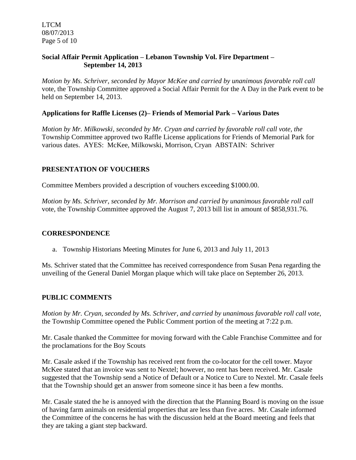LTCM 08/07/2013 Page 5 of 10

### **Social Affair Permit Application – Lebanon Township Vol. Fire Department – September 14, 2013**

*Motion by Ms. Schriver, seconded by Mayor McKee and carried by unanimous favorable roll call*  vote, the Township Committee approved a Social Affair Permit for the A Day in the Park event to be held on September 14, 2013.

### **Applications for Raffle Licenses (2)– Friends of Memorial Park – Various Dates**

*Motion by Mr. Milkowski, seconded by Mr. Cryan and carried by favorable roll call vote, the* Township Committee approved two Raffle License applications for Friends of Memorial Park for various dates. AYES: McKee, Milkowski, Morrison, Cryan ABSTAIN: Schriver

### **PRESENTATION OF VOUCHERS**

Committee Members provided a description of vouchers exceeding \$1000.00.

*Motion by Ms. Schriver, seconded by Mr. Morrison and carried by unanimous favorable roll call*  vote, the Township Committee approved the August 7, 2013 bill list in amount of \$858,931.76.

### **CORRESPONDENCE**

a. Township Historians Meeting Minutes for June 6, 2013 and July 11, 2013

Ms. Schriver stated that the Committee has received correspondence from Susan Pena regarding the unveiling of the General Daniel Morgan plaque which will take place on September 26, 2013.

### **PUBLIC COMMENTS**

*Motion by Mr. Cryan, seconded by Ms. Schriver, and carried by unanimous favorable roll call vote,* the Township Committee opened the Public Comment portion of the meeting at 7:22 p.m.

Mr. Casale thanked the Committee for moving forward with the Cable Franchise Committee and for the proclamations for the Boy Scouts

Mr. Casale asked if the Township has received rent from the co-locator for the cell tower. Mayor McKee stated that an invoice was sent to Nextel; however, no rent has been received. Mr. Casale suggested that the Township send a Notice of Default or a Notice to Cure to Nextel. Mr. Casale feels that the Township should get an answer from someone since it has been a few months.

Mr. Casale stated the he is annoyed with the direction that the Planning Board is moving on the issue of having farm animals on residential properties that are less than five acres. Mr. Casale informed the Committee of the concerns he has with the discussion held at the Board meeting and feels that they are taking a giant step backward.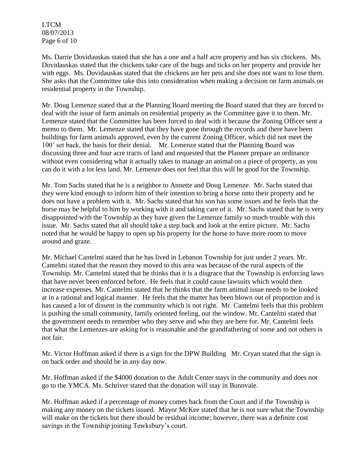LTCM 08/07/2013 Page 6 of 10

Ms. Darrie Dovidauskas stated that she has a one and a half acre property and has six chickens. Ms. Dovidauskas stated that the chickens take care of the bugs and ticks on her property and provide her with eggs. Ms. Dovidauskas stated that the chickens are her pets and she does not want to lose them. She asks that the Committee take this into consideration when making a decision on farm animals on residential property in the Township.

Mr. Doug Lemenze stated that at the Planning Board meeting the Board stated that they are forced to deal with the issue of farm animals on residential property as the Committee gave it to them. Mr. Lemenze stated that the Committee has been forced to deal with it because the Zoning Officer sent a memo to them. Mr. Lemenze stated that they have gone through the records and there have been buildings for farm animals approved, even by the current Zoning Officer, which did not meet the 100' set back, the basis for their denial. Mr. Lemenze stated that the Planning Board was discussing three and four acre tracts of land and requested that the Planner prepare an ordinance without even considering what it actually takes to manage an animal on a piece of property, as you can do it with a lot less land. Mr. Lemenze does not feel that this will be good for the Township.

Mr. Tom Sachs stated that he is a neighbor to Annette and Doug Lemenze. Mr. Sachs stated that they were kind enough to inform him of their intention to bring a horse onto their property and he does not have a problem with it. Mr. Sachs stated that his son has some issues and he feels that the horse may be helpful to him by working with it and taking care of it. Mr. Sachs stated that he is very disappointed with the Township as they have given the Lemenze family so much trouble with this issue. Mr. Sachs stated that all should take a step back and look at the entire picture. Mr. Sachs noted that he would be happy to open up his property for the horse to have more room to move around and graze.

Mr. Michael Cantelmi stated that he has lived in Lebanon Township for just under 2 years. Mr. Cantelmi stated that the reason they moved to this area was because of the rural aspects of the Township. Mr. Cantelmi stated that he thinks that it is a disgrace that the Township is enforcing laws that have never been enforced before. He feels that it could cause lawsuits which would then increase expenses. Mr. Cantelmi stated that he thinks that the farm animal issue needs to be looked at in a rational and logical manner. He feels that the matter has been blown out of proportion and is has caused a lot of dissent in the community which is not right. Mr. Cantelmi feels that this problem is pushing the small community, family oriented feeling, out the window. Mr. Cantelmi stated that the government needs to remember who they serve and who they are here for. Mr. Cantelmi feels that what the Lemenzes are asking for is reasonable and the grandfathering of some and not others is not fair.

Mr. Victor Hoffman asked if there is a sign for the DPW Building Mr. Cryan stated that the sign is on back order and should be in any day now.

Mr. Hoffman asked if the \$4000 donation to the Adult Center stays in the community and does not go to the YMCA. Ms. Schriver stated that the donation will stay in Bunnvale.

Mr. Hoffman asked if a percentage of money comes back from the Court and if the Township is making any money on the tickets issued. Mayor McKee stated that he is not sure what the Township will make on the tickets but there should be residual income; however, there was a definite cost savings in the Township joining Tewksbury's court.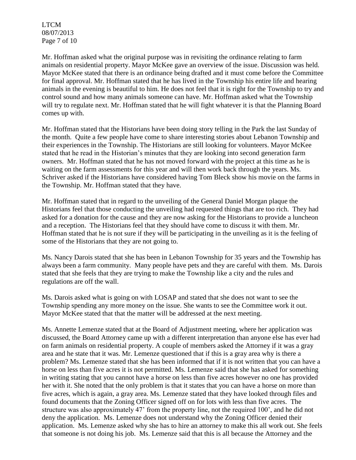LTCM 08/07/2013 Page 7 of 10

Mr. Hoffman asked what the original purpose was in revisiting the ordinance relating to farm animals on residential property. Mayor McKee gave an overview of the issue. Discussion was held. Mayor McKee stated that there is an ordinance being drafted and it must come before the Committee for final approval. Mr. Hoffman stated that he has lived in the Township his entire life and hearing animals in the evening is beautiful to him. He does not feel that it is right for the Township to try and control sound and how many animals someone can have. Mr. Hoffman asked what the Township will try to regulate next. Mr. Hoffman stated that he will fight whatever it is that the Planning Board comes up with.

Mr. Hoffman stated that the Historians have been doing story telling in the Park the last Sunday of the month. Quite a few people have come to share interesting stories about Lebanon Township and their experiences in the Township. The Historians are still looking for volunteers. Mayor McKee stated that he read in the Historian's minutes that they are looking into second generation farm owners. Mr. Hoffman stated that he has not moved forward with the project at this time as he is waiting on the farm assessments for this year and will then work back through the years. Ms. Schriver asked if the Historians have considered having Tom Bleck show his movie on the farms in the Township. Mr. Hoffman stated that they have.

Mr. Hoffman stated that in regard to the unveiling of the General Daniel Morgan plaque the Historians feel that those conducting the unveiling had requested things that are too rich. They had asked for a donation for the cause and they are now asking for the Historians to provide a luncheon and a reception. The Historians feel that they should have come to discuss it with them. Mr. Hoffman stated that he is not sure if they will be participating in the unveiling as it is the feeling of some of the Historians that they are not going to.

Ms. Nancy Darois stated that she has been in Lebanon Township for 35 years and the Township has always been a farm community. Many people have pets and they are careful with them. Ms. Darois stated that she feels that they are trying to make the Township like a city and the rules and regulations are off the wall.

Ms. Darois asked what is going on with LOSAP and stated that she does not want to see the Township spending any more money on the issue. She wants to see the Committee work it out. Mayor McKee stated that that the matter will be addressed at the next meeting.

Ms. Annette Lemenze stated that at the Board of Adjustment meeting, where her application was discussed, the Board Attorney came up with a different interpretation than anyone else has ever had on farm animals on residential property. A couple of members asked the Attorney if it was a gray area and he state that it was. Mr. Lemenze questioned that if this is a gray area why is there a problem? Ms. Lemenze stated that she has been informed that if it is not written that you can have a horse on less than five acres it is not permitted. Ms. Lemenze said that she has asked for something in writing stating that you cannot have a horse on less than five acres however no one has provided her with it. She noted that the only problem is that it states that you can have a horse on more than five acres, which is again, a gray area. Ms. Lemenze stated that they have looked through files and found documents that the Zoning Officer signed off on for lots with less than five acres. The structure was also approximately 47' from the property line, not the required 100', and he did not deny the application. Ms. Lemenze does not understand why the Zoning Officer denied their application. Ms. Lemenze asked why she has to hire an attorney to make this all work out. She feels that someone is not doing his job. Ms. Lemenze said that this is all because the Attorney and the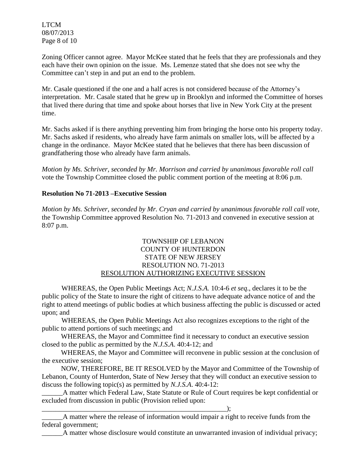LTCM 08/07/2013 Page 8 of 10

Zoning Officer cannot agree. Mayor McKee stated that he feels that they are professionals and they each have their own opinion on the issue. Ms. Lemenze stated that she does not see why the Committee can't step in and put an end to the problem.

Mr. Casale questioned if the one and a half acres is not considered because of the Attorney's interpretation. Mr. Casale stated that he grew up in Brooklyn and informed the Committee of horses that lived there during that time and spoke about horses that live in New York City at the present time.

Mr. Sachs asked if is there anything preventing him from bringing the horse onto his property today. Mr. Sachs asked if residents, who already have farm animals on smaller lots, will be affected by a change in the ordinance. Mayor McKee stated that he believes that there has been discussion of grandfathering those who already have farm animals.

*Motion by Ms. Schriver, seconded by Mr. Morrison and carried by unanimous favorable roll call*  vote the Township Committee closed the public comment portion of the meeting at 8:06 p.m.

## **Resolution No 71-2013 –Executive Session**

*Motion by Ms. Schriver, seconded by Mr. Cryan and carried by unanimous favorable roll call vote,* the Township Committee approved Resolution No. 71-2013 and convened in executive session at 8:07 p.m.

### TOWNSHIP OF LEBANON COUNTY OF HUNTERDON STATE OF NEW JERSEY RESOLUTION NO. 71-2013 RESOLUTION AUTHORIZING EXECUTIVE SESSION

WHEREAS, the Open Public Meetings Act; *N.J.S.A.* 10:4-6 *et seq*., declares it to be the public policy of the State to insure the right of citizens to have adequate advance notice of and the right to attend meetings of public bodies at which business affecting the public is discussed or acted upon; and

WHEREAS, the Open Public Meetings Act also recognizes exceptions to the right of the public to attend portions of such meetings; and

 WHEREAS, the Mayor and Committee find it necessary to conduct an executive session closed to the public as permitted by the *N.J.S.A*. 40:4-12; and

 WHEREAS, the Mayor and Committee will reconvene in public session at the conclusion of the executive session;

 NOW, THEREFORE, BE IT RESOLVED by the Mayor and Committee of the Township of Lebanon, County of Hunterdon, State of New Jersey that they will conduct an executive session to discuss the following topic(s) as permitted by *N.J.S.A*. 40:4-12:

A matter which Federal Law, State Statute or Rule of Court requires be kept confidential or excluded from discussion in public (Provision relied upon:

\_\_\_\_\_\_A matter where the release of information would impair a right to receive funds from the federal government;

 $\qquad \qquad ; \qquad$ 

\_\_\_\_\_\_A matter whose disclosure would constitute an unwarranted invasion of individual privacy;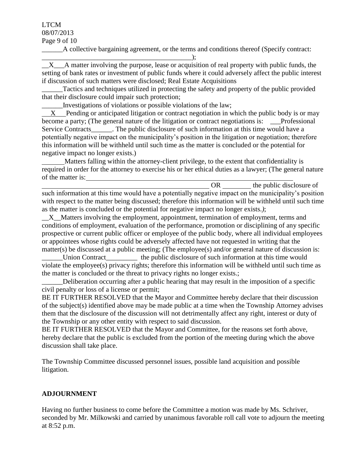#### LTCM 08/07/2013

Page 9 of 10

\_\_\_\_\_\_A collective bargaining agreement, or the terms and conditions thereof (Specify contract:

\_\_\_\_\_\_\_\_\_\_\_\_\_\_\_\_\_\_\_\_\_\_\_\_\_\_\_\_\_\_\_\_\_\_\_\_\_\_\_\_\_\_\_);  $\overline{X}$  A matter involving the purpose, lease or acquisition of real property with public funds, the setting of bank rates or investment of public funds where it could adversely affect the public interest if discussion of such matters were disclosed; Real Estate Acquisitions

Tactics and techniques utilized in protecting the safety and property of the public provided that their disclosure could impair such protection;

\_\_\_\_\_\_Investigations of violations or possible violations of the law;

 X Pending or anticipated litigation or contract negotiation in which the public body is or may become a party; (The general nature of the litigation or contract negotiations is: Professional Service Contracts Fig. 2. The public disclosure of such information at this time would have a potentially negative impact on the municipality's position in the litigation or negotiation; therefore this information will be withheld until such time as the matter is concluded or the potential for negative impact no longer exists.)

 Matters falling within the attorney-client privilege, to the extent that confidentiality is required in order for the attorney to exercise his or her ethical duties as a lawyer; (The general nature of the matter is:

OR the public disclosure of such information at this time would have a potentially negative impact on the municipality's position with respect to the matter being discussed; therefore this information will be withheld until such time as the matter is concluded or the potential for negative impact no longer exists.*)*;

X Matters involving the employment, appointment, termination of employment, terms and conditions of employment, evaluation of the performance, promotion or disciplining of any specific prospective or current public officer or employee of the public body, where all individual employees or appointees whose rights could be adversely affected have not requested in writing that the matter(s) be discussed at a public meeting; (The employee(s) and/or general nature of discussion is:

Union Contract the public disclosure of such information at this time would violate the employee(s) privacy rights; therefore this information will be withheld until such time as the matter is concluded or the threat to privacy rights no longer exists.;

Deliberation occurring after a public hearing that may result in the imposition of a specific civil penalty or loss of a license or permit;

BE IT FURTHER RESOLVED that the Mayor and Committee hereby declare that their discussion of the subject(s) identified above may be made public at a time when the Township Attorney advises them that the disclosure of the discussion will not detrimentally affect any right, interest or duty of the Township or any other entity with respect to said discussion.

BE IT FURTHER RESOLVED that the Mayor and Committee, for the reasons set forth above, hereby declare that the public is excluded from the portion of the meeting during which the above discussion shall take place.

The Township Committee discussed personnel issues, possible land acquisition and possible litigation.

# **ADJOURNMENT**

Having no further business to come before the Committee a motion was made by Ms. Schriver, seconded by Mr. Milkowski and carried by unanimous favorable roll call vote to adjourn the meeting at 8:52 p.m.